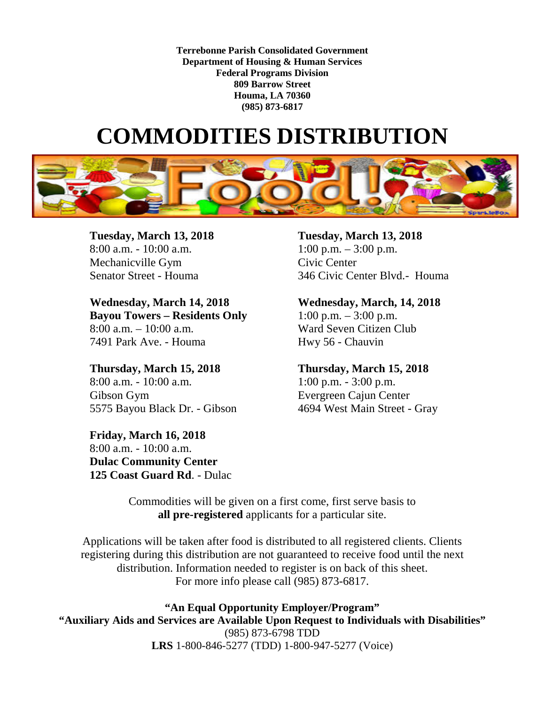**Terrebonne Parish Consolidated Government Department of Housing & Human Services Federal Programs Division 809 Barrow Street Houma, LA 70360 (985) 873-6817**

## **COMMODITIES DISTRIBUTION**



**Tuesday, March 13, 2018 Tuesday, March 13, 2018** 8:00 a.m. - 10:00 a.m.  $1:00 \text{ p.m.} - 3:00 \text{ p.m.}$ Mechanicville Gym Civic Center

**Wednesday, March 14, 2018 Wednesday, March, 14, 2018 Bayou Towers – Residents Only** 1:00 p.m. – 3:00 p.m. 8:00 a.m. – 10:00 a.m. Ward Seven Citizen Club 7491 Park Ave. - Houma Hwy 56 - Chauvin

**Thursday, March 15, 2018 Thursday, March 15, 2018**  8:00 a.m. - 10:00 a.m. 1:00 p.m. - 3:00 p.m. Gibson Gym Evergreen Cajun Center 5575 Bayou Black Dr. - Gibson 4694 West Main Street - Gray

**Friday, March 16, 2018** 8:00 a.m. - 10:00 a.m. **Dulac Community Center 125 Coast Guard Rd**. - Dulac

Senator Street - Houma 346 Civic Center Blvd.- Houma

Commodities will be given on a first come, first serve basis to **all pre-registered** applicants for a particular site.

Applications will be taken after food is distributed to all registered clients. Clients registering during this distribution are not guaranteed to receive food until the next distribution. Information needed to register is on back of this sheet. For more info please call (985) 873-6817.

**"An Equal Opportunity Employer/Program" "Auxiliary Aids and Services are Available Upon Request to Individuals with Disabilities"** (985) 873-6798 TDD **LRS** 1-800-846-5277 (TDD) 1-800-947-5277 (Voice)